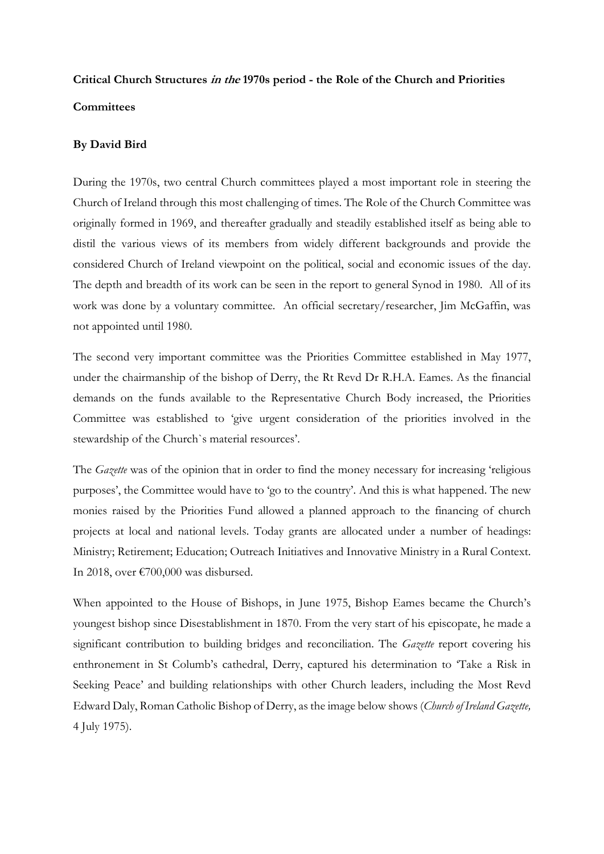## Critical Church Structures in the 1970s period - the Role of the Church and Priorities **Committees**

## By David Bird

During the 1970s, two central Church committees played a most important role in steering the Church of Ireland through this most challenging of times. The Role of the Church Committee was originally formed in 1969, and thereafter gradually and steadily established itself as being able to distil the various views of its members from widely different backgrounds and provide the considered Church of Ireland viewpoint on the political, social and economic issues of the day. The depth and breadth of its work can be seen in the report to general Synod in 1980. All of its work was done by a voluntary committee. An official secretary/researcher, Jim McGaffin, was not appointed until 1980.

The second very important committee was the Priorities Committee established in May 1977, under the chairmanship of the bishop of Derry, the Rt Revd Dr R.H.A. Eames. As the financial demands on the funds available to the Representative Church Body increased, the Priorities Committee was established to 'give urgent consideration of the priorities involved in the stewardship of the Church`s material resources'.

The *Gazette* was of the opinion that in order to find the money necessary for increasing 'religious purposes', the Committee would have to 'go to the country'. And this is what happened. The new monies raised by the Priorities Fund allowed a planned approach to the financing of church projects at local and national levels. Today grants are allocated under a number of headings: Ministry; Retirement; Education; Outreach Initiatives and Innovative Ministry in a Rural Context. In 2018, over €700,000 was disbursed.

When appointed to the House of Bishops, in June 1975, Bishop Eames became the Church's youngest bishop since Disestablishment in 1870. From the very start of his episcopate, he made a significant contribution to building bridges and reconciliation. The Gazette report covering his enthronement in St Columb's cathedral, Derry, captured his determination to 'Take a Risk in Seeking Peace' and building relationships with other Church leaders, including the Most Revd Edward Daly, Roman Catholic Bishop of Derry, as the image below shows (Church of Ireland Gazette, 4 July 1975).